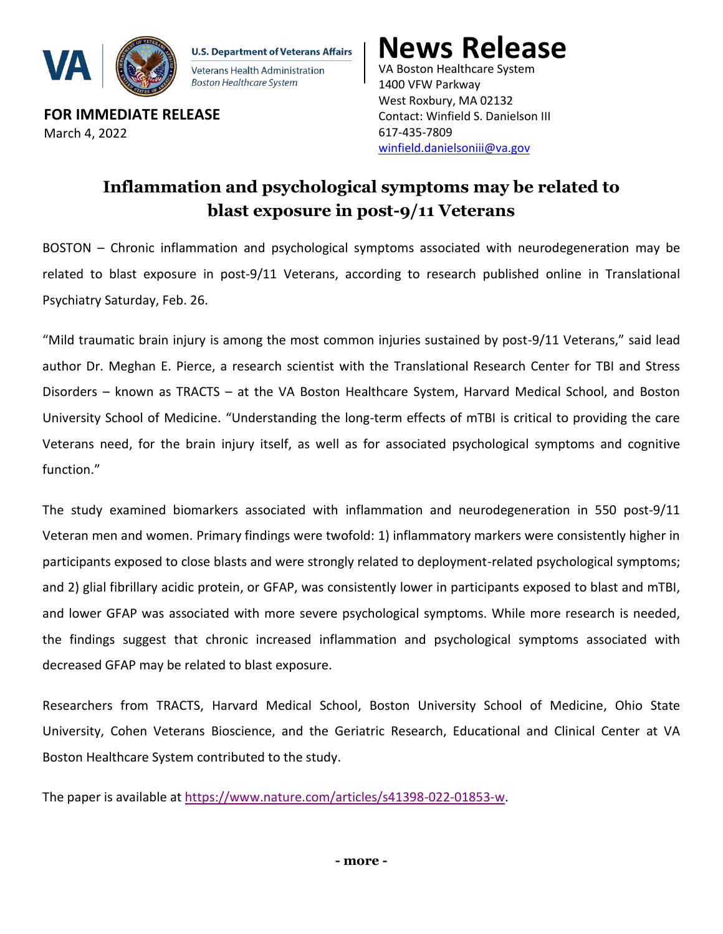

**U.S. Department of Veterans Affairs** Veterans Health Administration Boston Healthcare System

**FOR IMMEDIATE RELEASE** March 4, 2022

VA Boston Healthcare System **News Release**

1400 VFW Parkway West Roxbury, MA 02132 Contact: Winfield S. Danielson III 617-435-7809 [winfield.danielsoniii@va.gov](mailto:winfield.danielsoniii@va.gov)

## **Inflammation and psychological symptoms may be related to blast exposure in post-9/11 Veterans**

BOSTON – Chronic inflammation and psychological symptoms associated with neurodegeneration may be related to blast exposure in post-9/11 Veterans, according to research published online in Translational Psychiatry Saturday, Feb. 26.

"Mild traumatic brain injury is among the most common injuries sustained by post-9/11 Veterans," said lead author Dr. Meghan E. Pierce, a research scientist with the Translational Research Center for TBI and Stress Disorders – known as TRACTS – at the VA Boston Healthcare System, Harvard Medical School, and Boston University School of Medicine. "Understanding the long-term effects of mTBI is critical to providing the care Veterans need, for the brain injury itself, as well as for associated psychological symptoms and cognitive function."

The study examined biomarkers associated with inflammation and neurodegeneration in 550 post-9/11 Veteran men and women. Primary findings were twofold: 1) inflammatory markers were consistently higher in participants exposed to close blasts and were strongly related to deployment-related psychological symptoms; and 2) glial fibrillary acidic protein, or GFAP, was consistently lower in participants exposed to blast and mTBI, and lower GFAP was associated with more severe psychological symptoms. While more research is needed, the findings suggest that chronic increased inflammation and psychological symptoms associated with decreased GFAP may be related to blast exposure.

Researchers from TRACTS, Harvard Medical School, Boston University School of Medicine, Ohio State University, Cohen Veterans Bioscience, and the Geriatric Research, Educational and Clinical Center at VA Boston Healthcare System contributed to the study.

The paper is available at [https://www.nature.com/articles/s41398-022-01853-w.](https://www.nature.com/articles/s41398-022-01853-w)